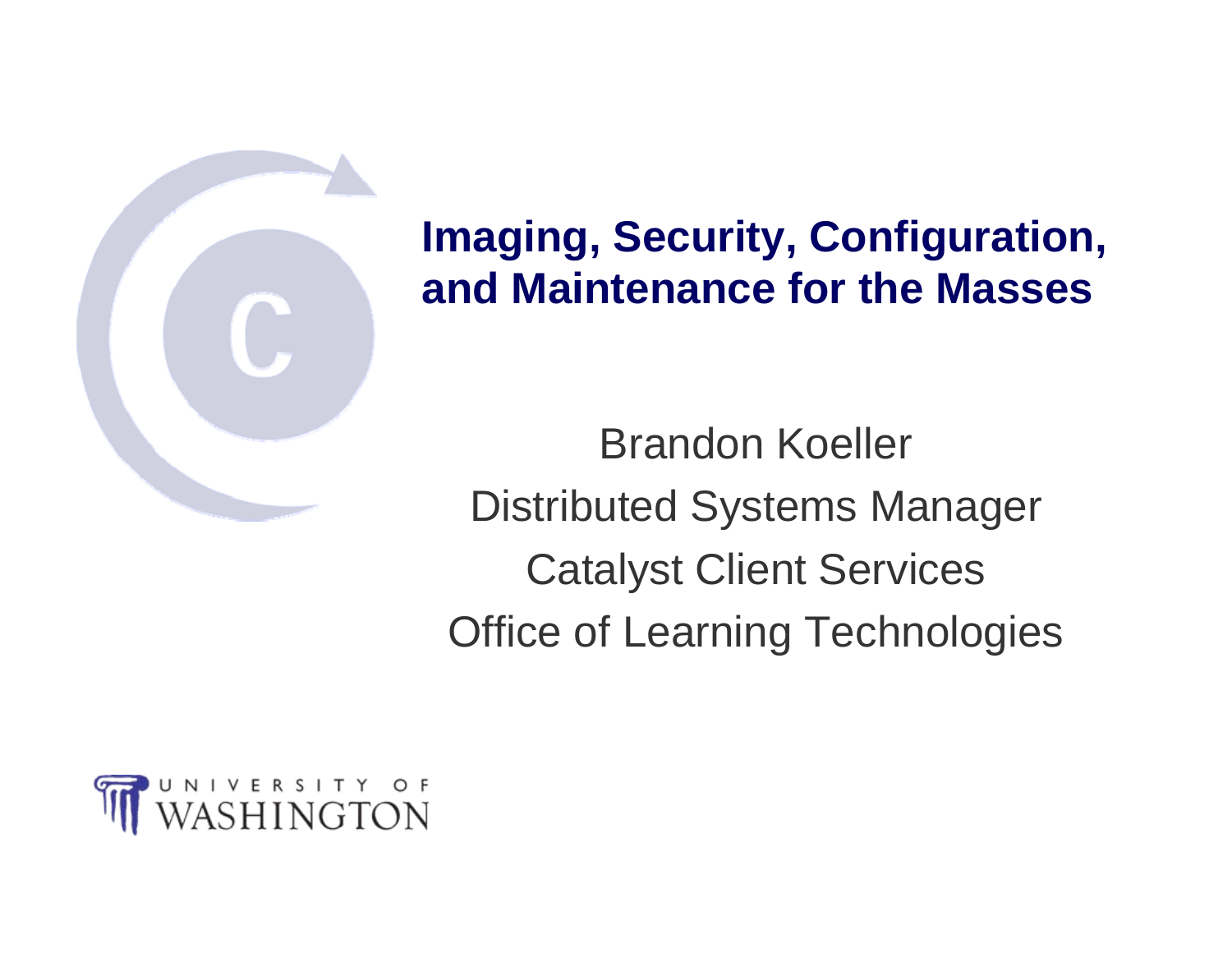

#### **Imaging, Security, Configuration, and Maintenance for the Masses**

Brandon Koeller Distributed Systems Manager Catalyst Client Services Office of Learning Technologies

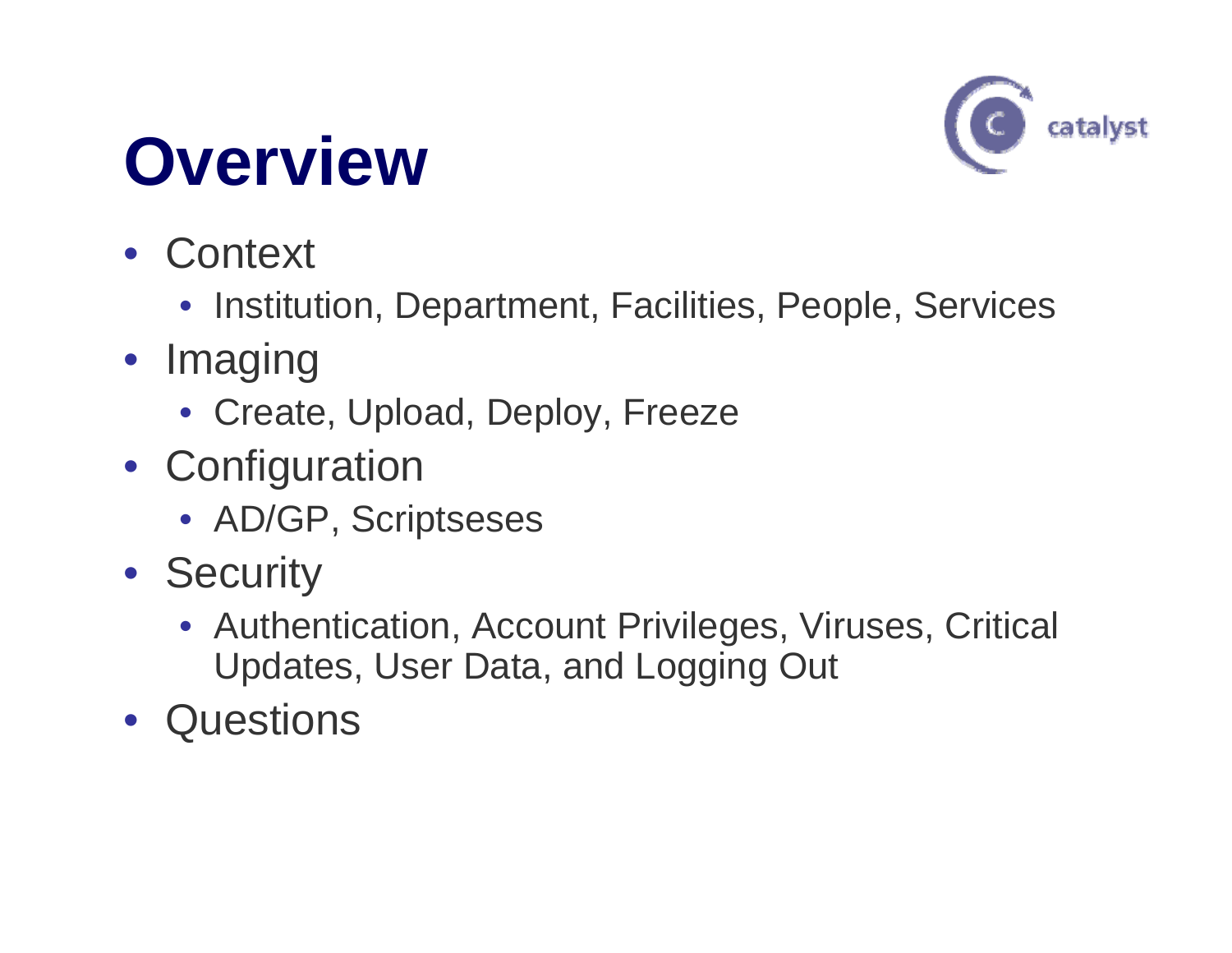#### **Overview**



- Context
	- Institution, Department, Facilities, People, Services
- Imaging
	- Create, Upload, Deploy, Freeze
- Configuration
	- AD/GP, Scriptseses
- Security
	- Authentication, Account Privileges, Viruses, Critical Updates, User Data, and Logging Out
- Questions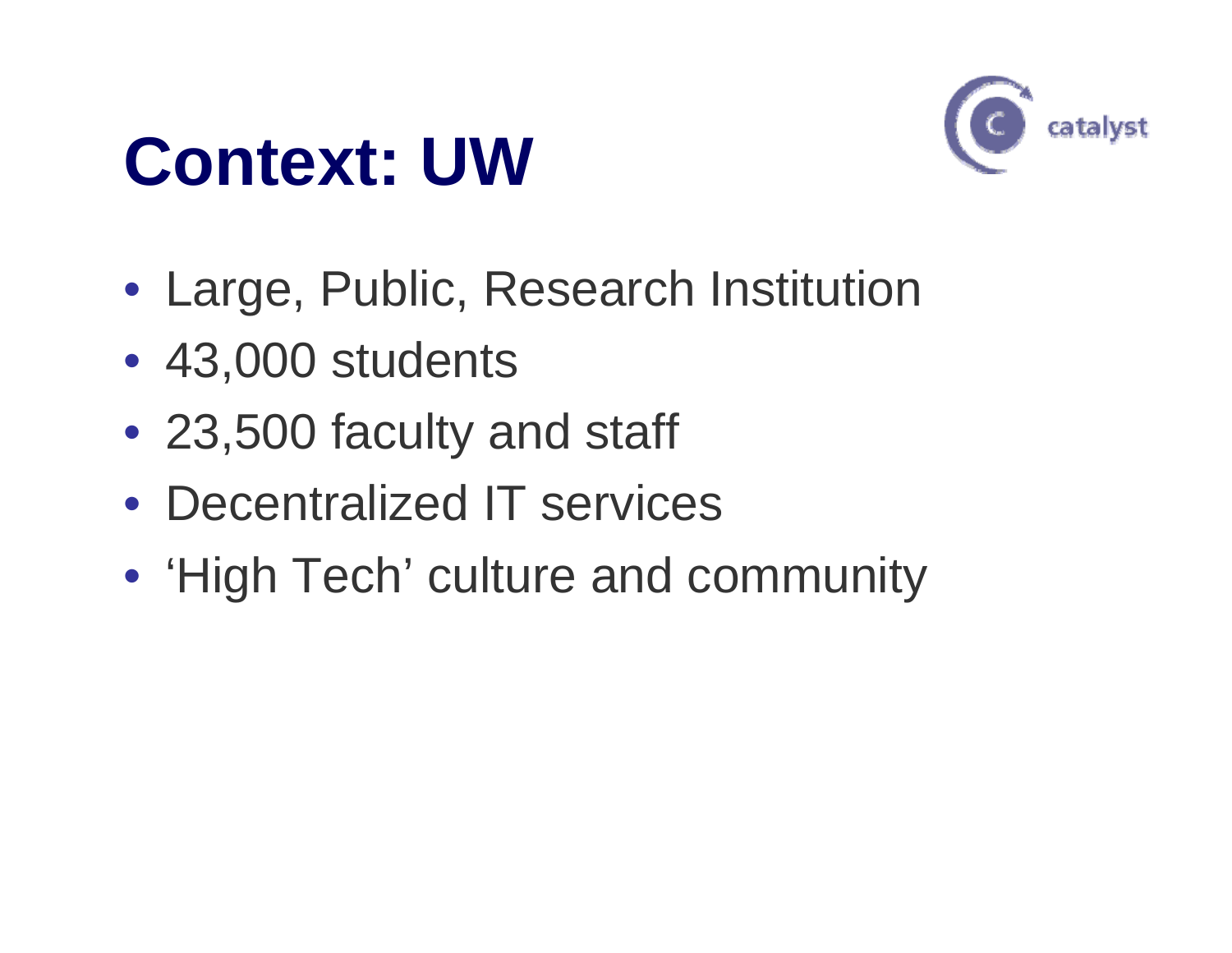#### **Context: UW**



- Large, Public, Research Institution
- 43,000 students
- 23,500 faculty and staff
- Decentralized IT services
- 'High Tech' culture and community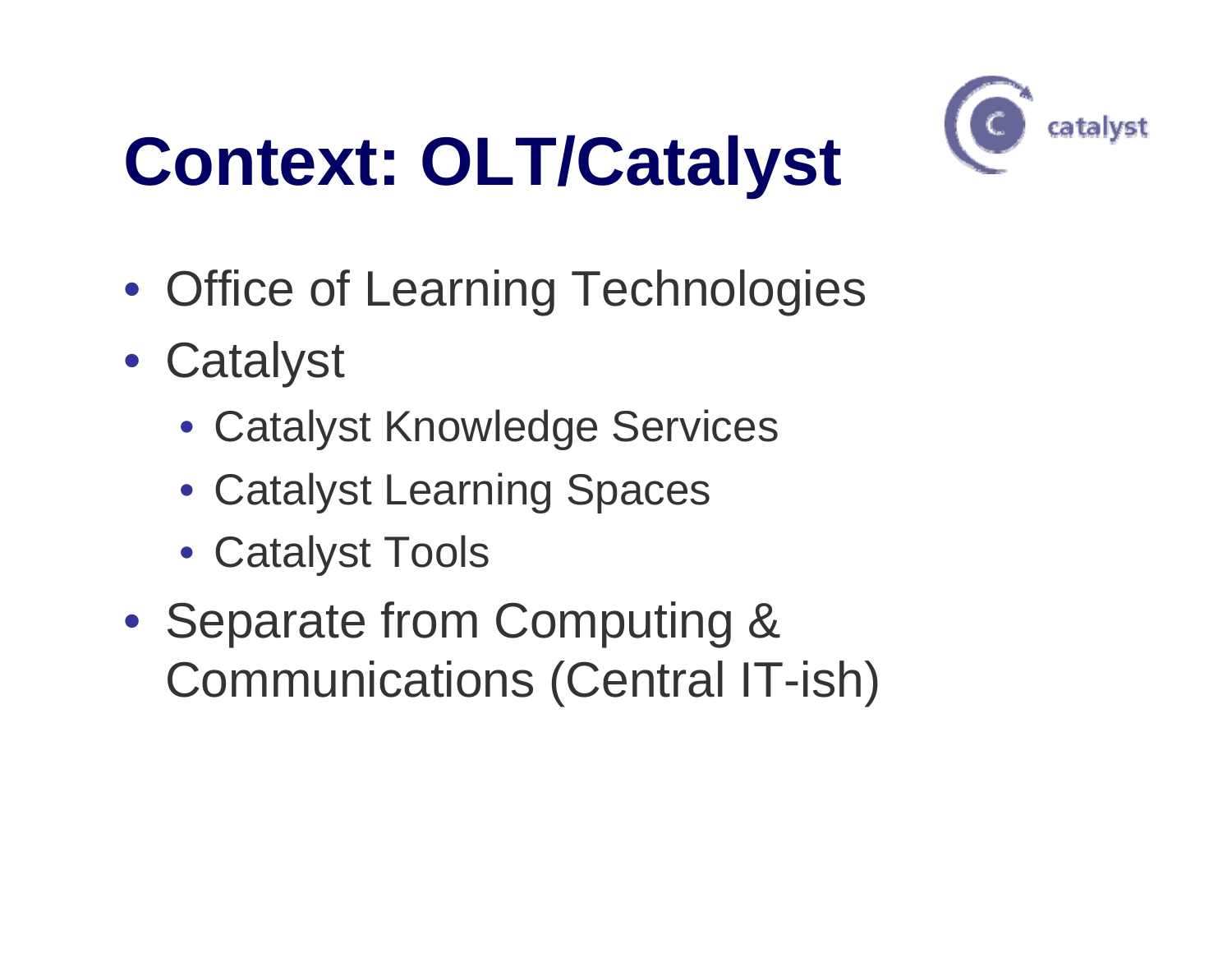# **Context: OLT/Catalyst**



- Office of Learning Technologies
- Catalyst
	- Catalyst Knowledge Services
	- Catalyst Learning Spaces
	- Catalyst Tools
- Separate from Computing & Communications (Central IT-ish)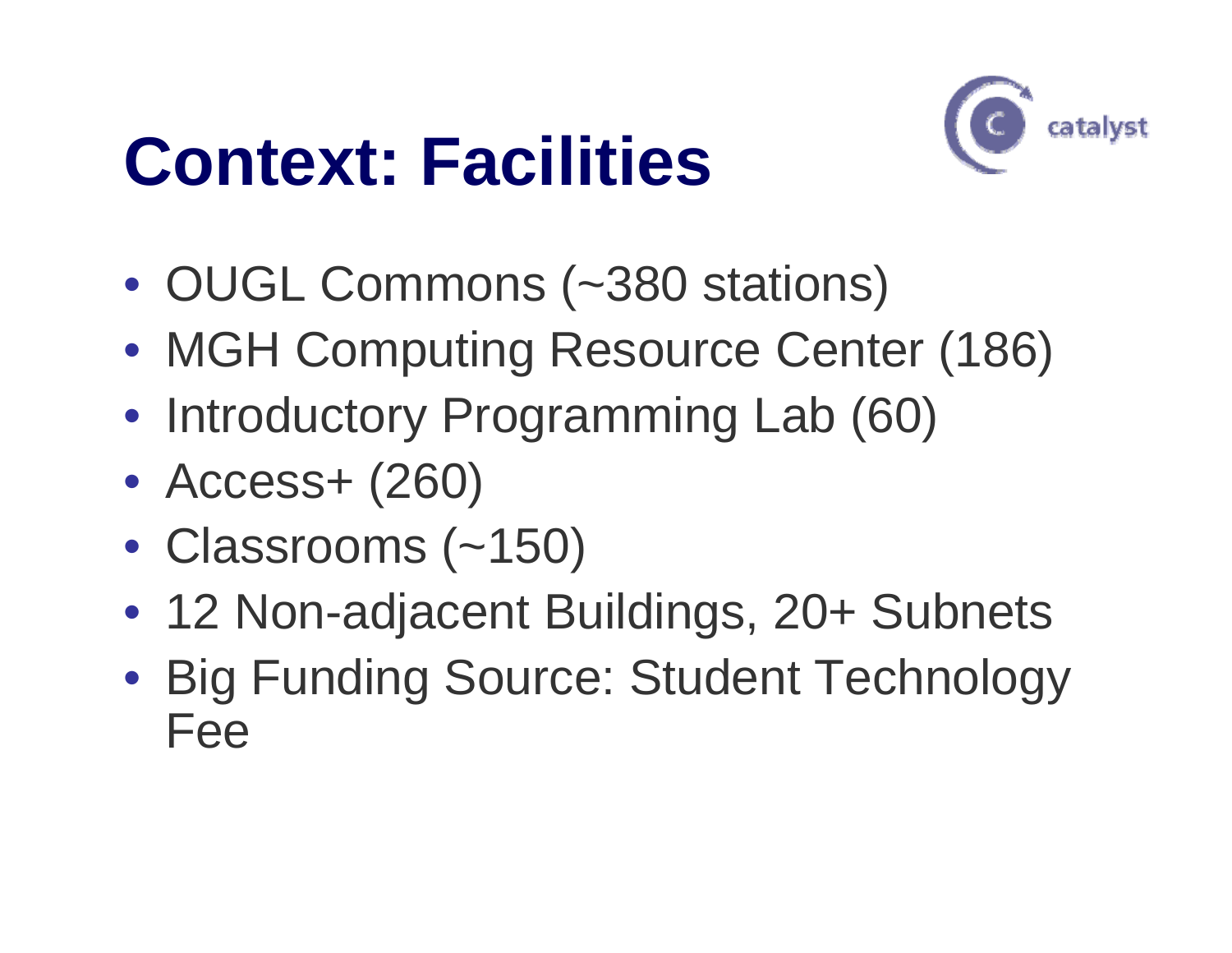#### **Context: Facilities**



- OUGL Commons (~380 stations)
- MGH Computing Resource Center (186)
- Introductory Programming Lab (60)
- Access+ (260)
- Classrooms (~150)
- 12 Non-adjacent Buildings, 20+ Subnets
- Big Funding Source: Student Technology Fee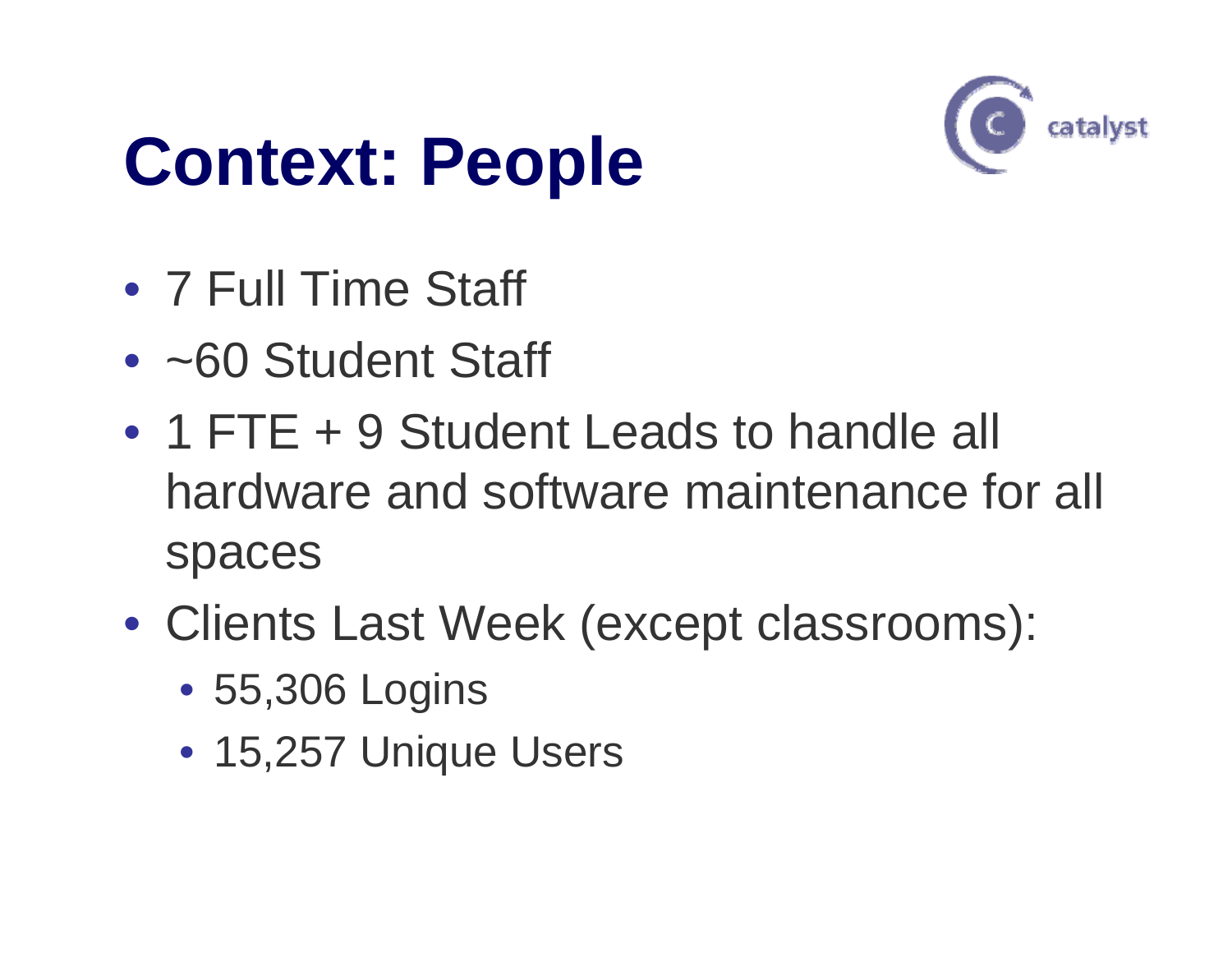#### **Context: People**



- 7 Full Time Staff
- ~60 Student Staff
- 1 FTE + 9 Student Leads to handle all hardware and software maintenance for all spaces
- Clients Last Week (except classrooms):
	- 55,306 Logins
	- 15,257 Unique Users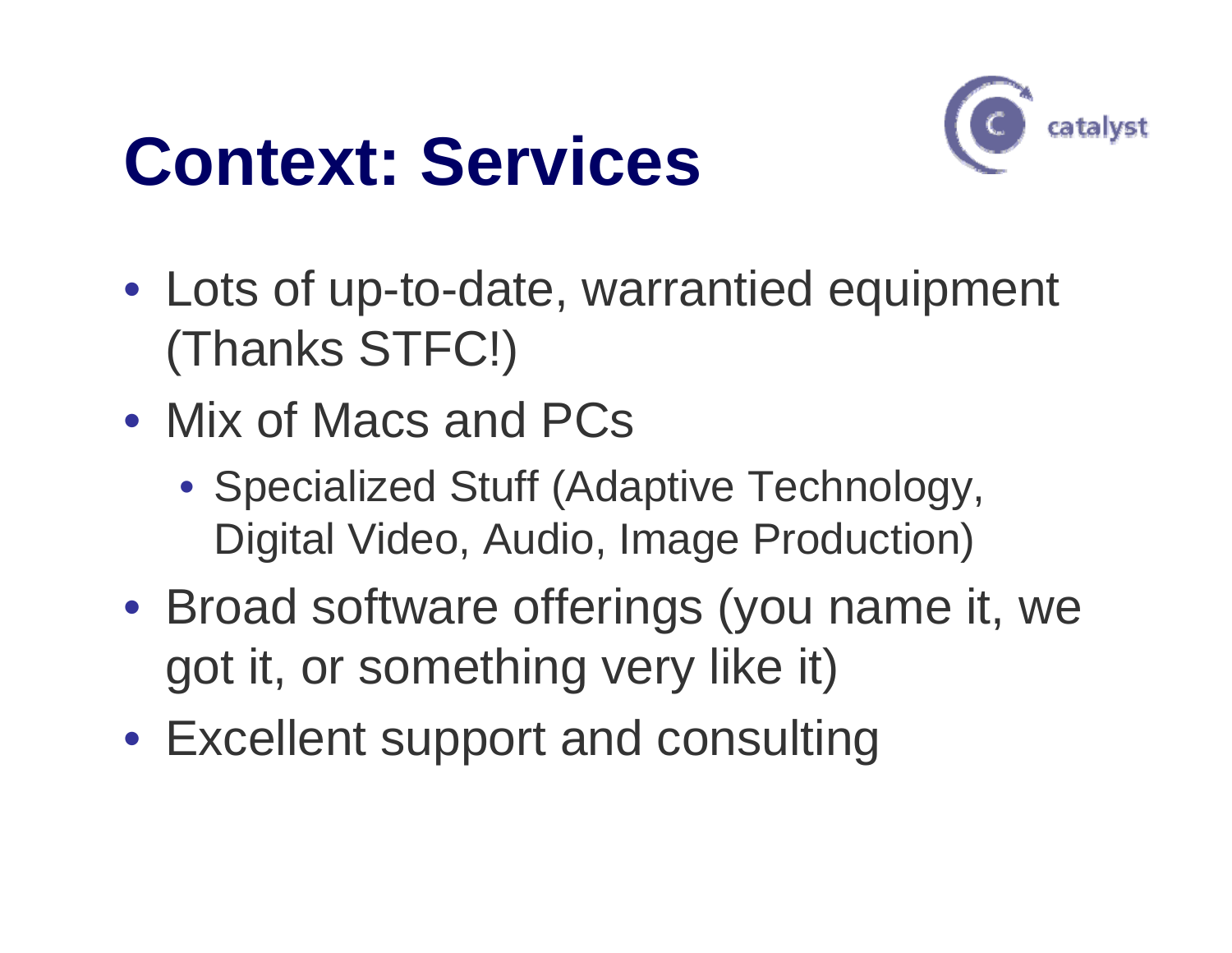#### **Context: Services**



- Lots of up-to-date, warrantied equipment (Thanks STFC!)
- Mix of Macs and PCs
	- Specialized Stuff (Adaptive Technology, Digital Video, Audio, Image Production)
- Broad software offerings (you name it, we got it, or something very like it)
- Excellent support and consulting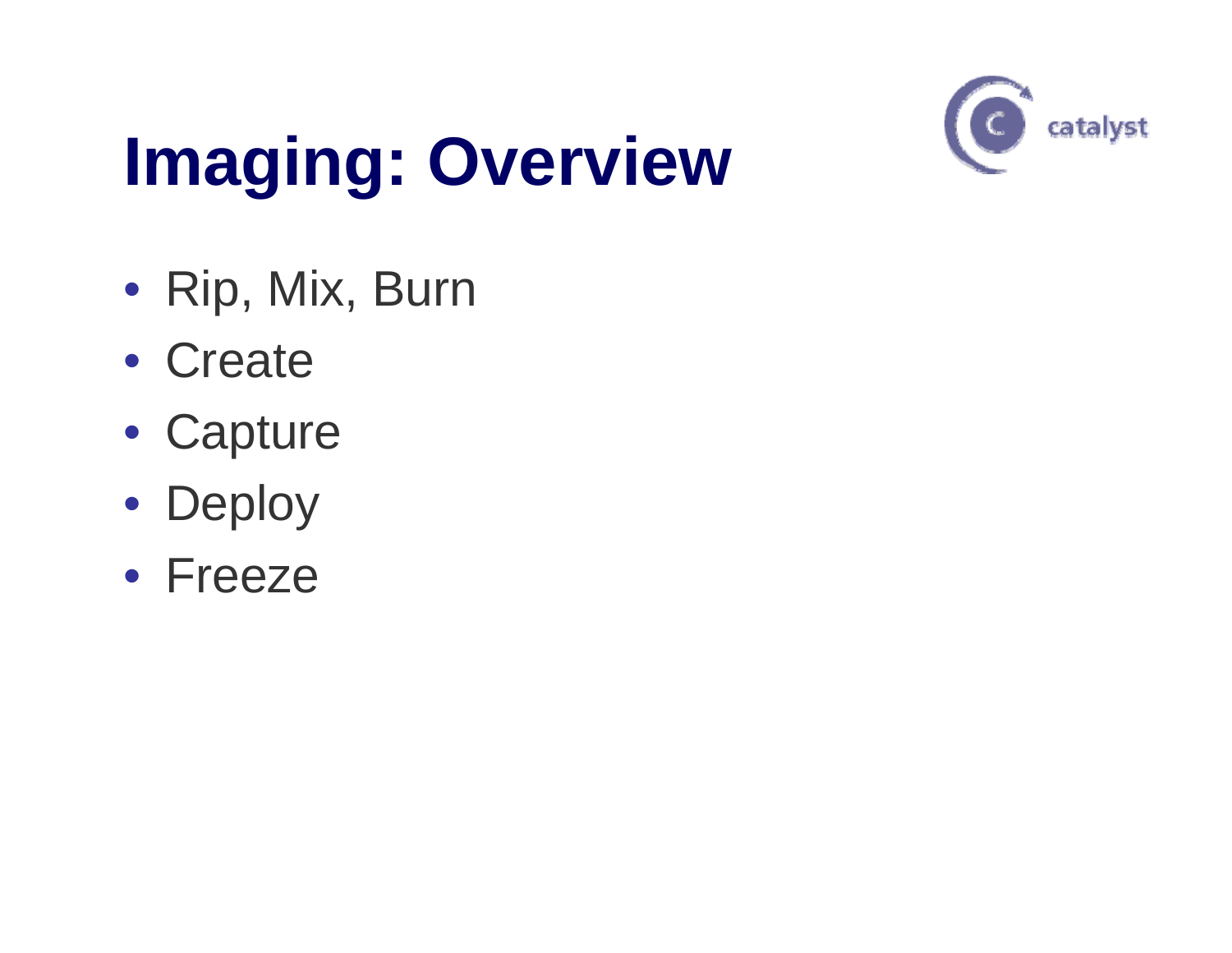# **Imaging: Overview**



- Rip, Mix, Burn
- Create
- Capture
- Deploy
- Freeze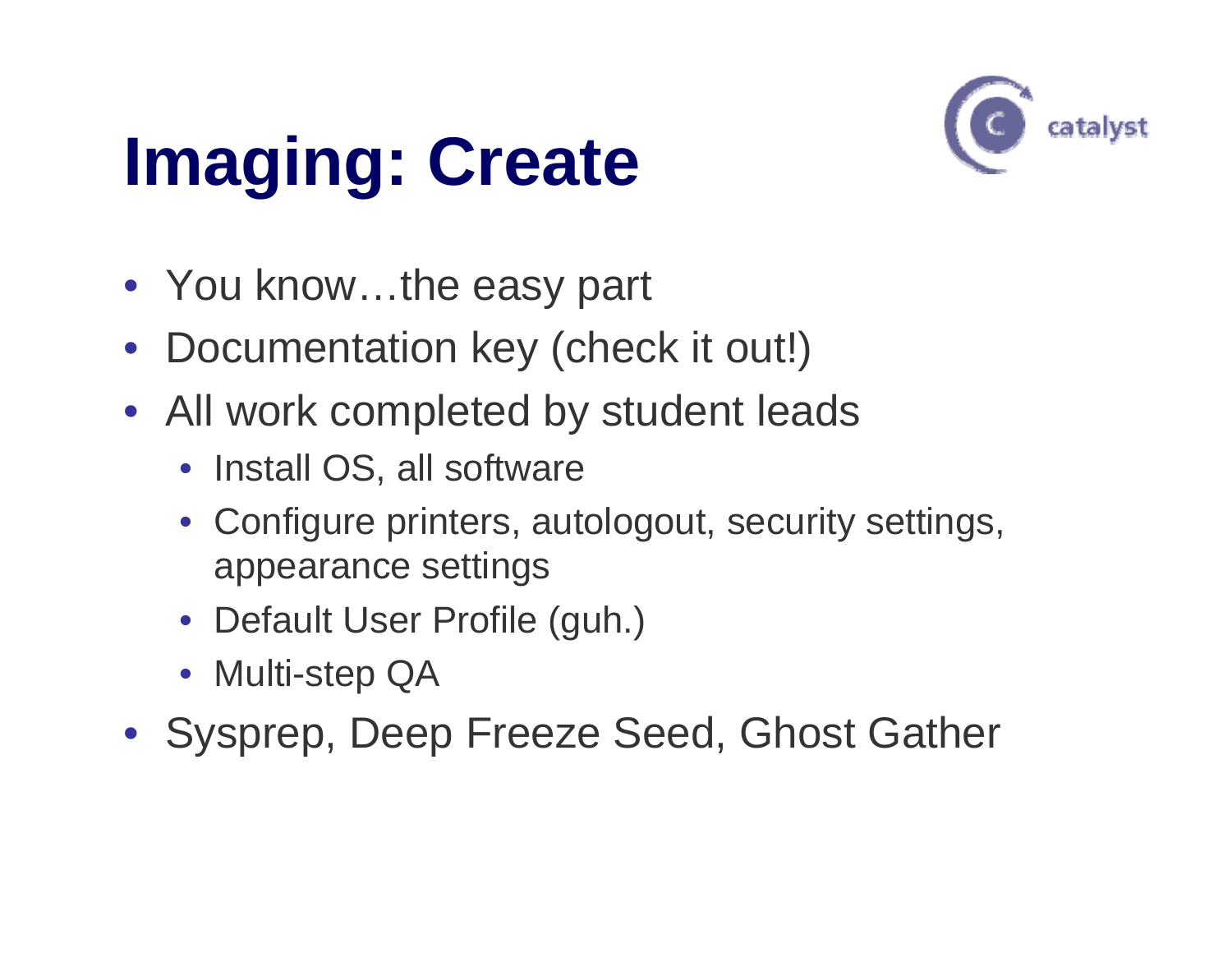## **Imaging: Create**



- You know…the easy part
- Documentation key (check it out!)
- All work completed by student leads
	- Install OS, all software
	- Configure printers, autologout, security settings, appearance settings
	- Default User Profile (guh.)
	- Multi-step QA
- Sysprep, Deep Freeze Seed, Ghost Gather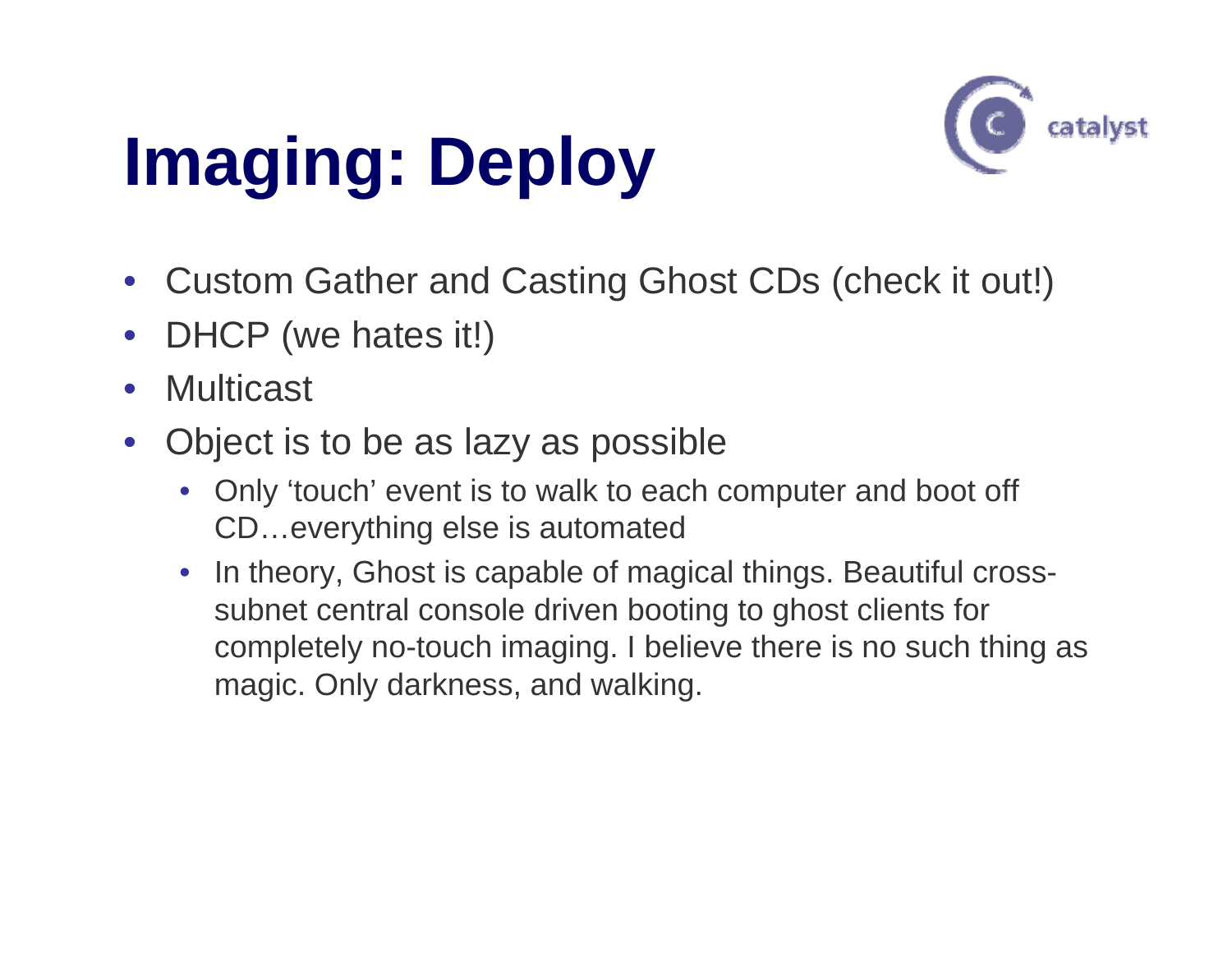# **Imaging: Deploy**



- Custom Gather and Casting Ghost CDs (check it out!)
- •DHCP (we hates it!)
- •Multicast
- • Object is to be as lazy as possible
	- $\bullet$  Only 'touch' event is to walk to each computer and boot off CD…everything else is automated
	- $\bullet$  In theory, Ghost is capable of magical things. Beautiful crosssubnet central console driven booting to ghost clients for completely no-touch imaging. I believe there is no such thing as magic. Only darkness, and walking.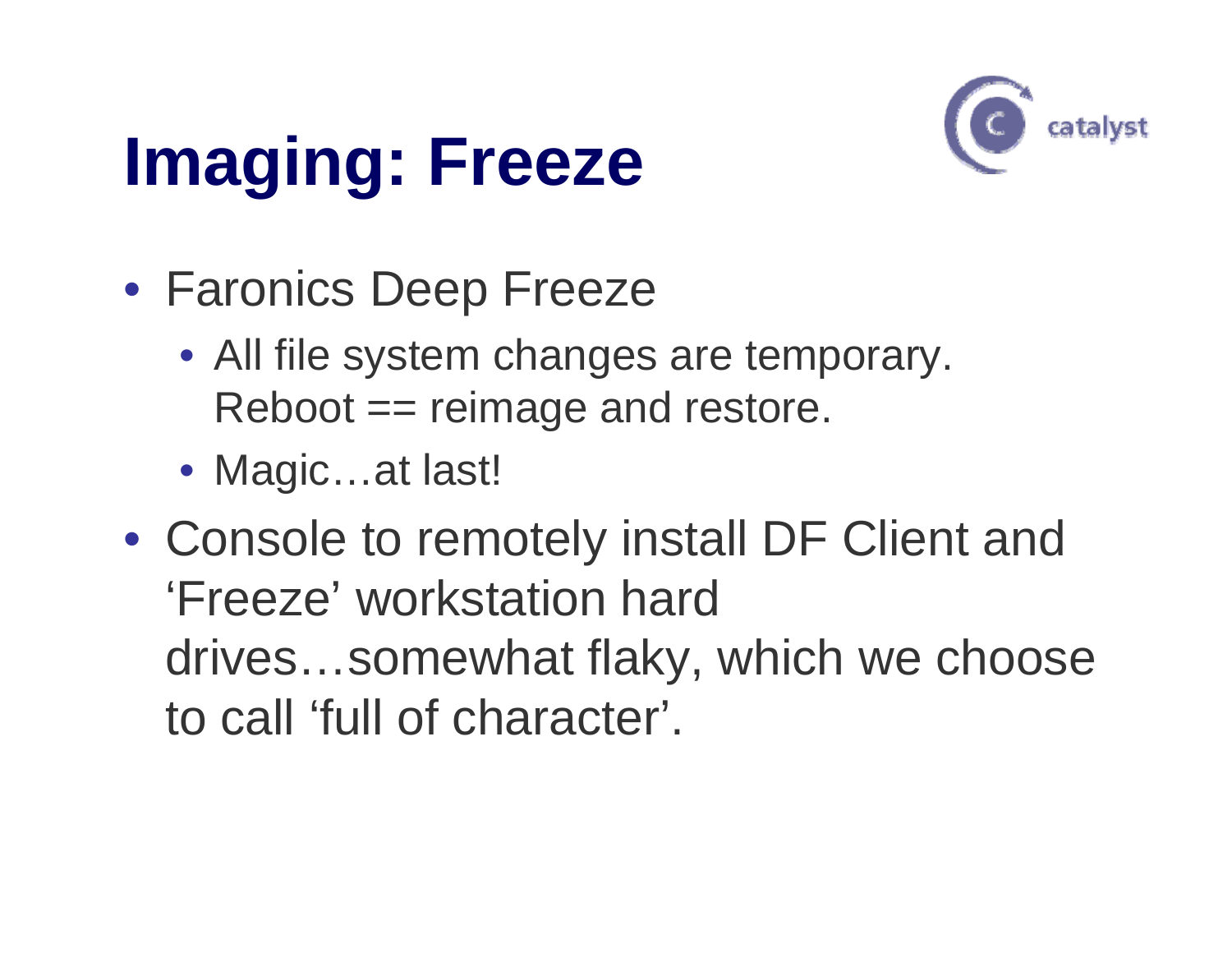## **Imaging: Freeze**



- Faronics Deep Freeze
	- All file system changes are temporary. Reboot == reimage and restore.
	- Magic…at last!
- Console to remotely install DF Client and 'Freeze' workstation hard drives…somewhat flaky, which we choose to call 'full of character'.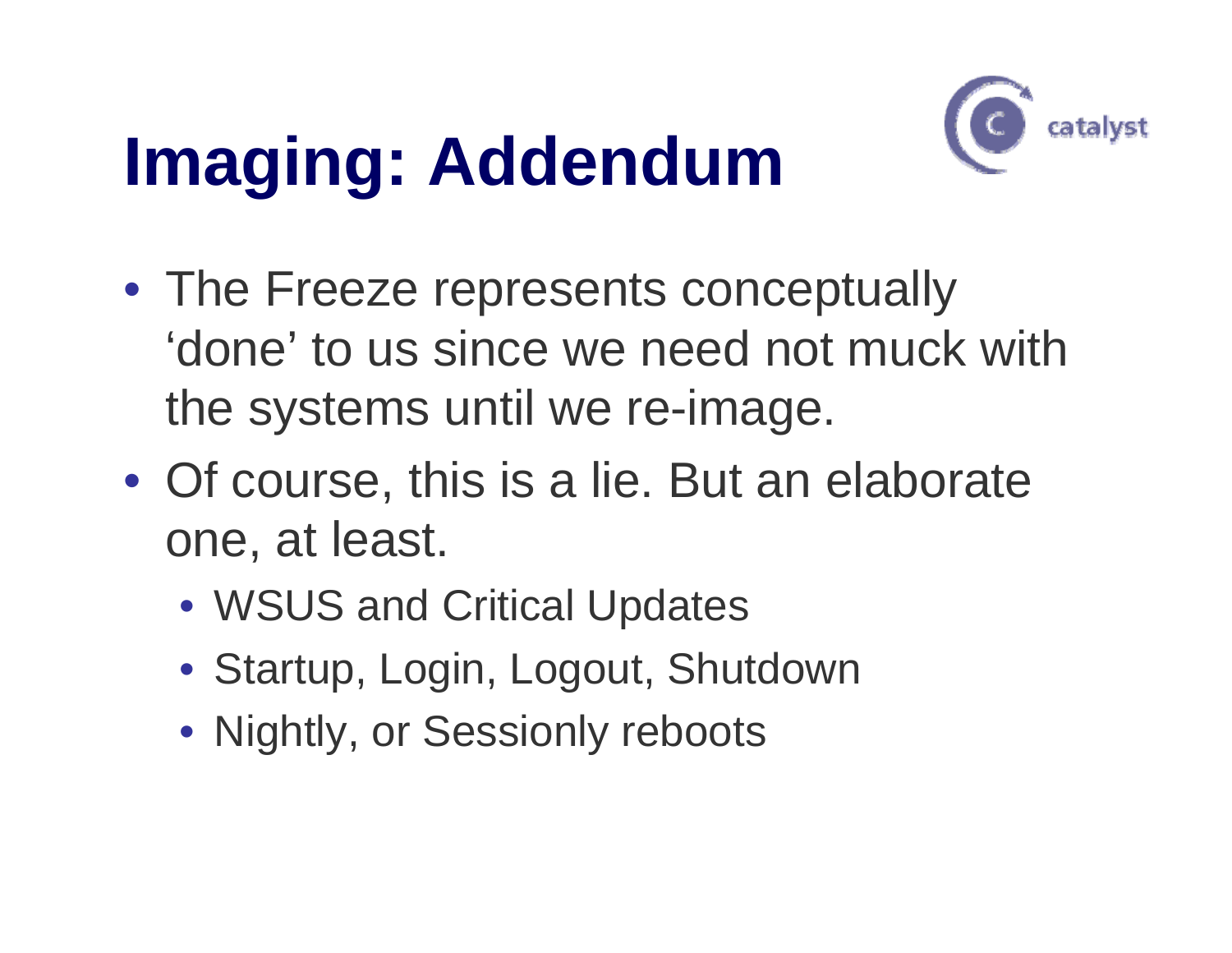## **Imaging: Addendum**



- The Freeze represents conceptually 'done' to us since we need not muck with the systems until we re-image.
- Of course, this is a lie. But an elaborate one, at least.
	- WSUS and Critical Updates
	- Startup, Login, Logout, Shutdown
	- Nightly, or Sessionly reboots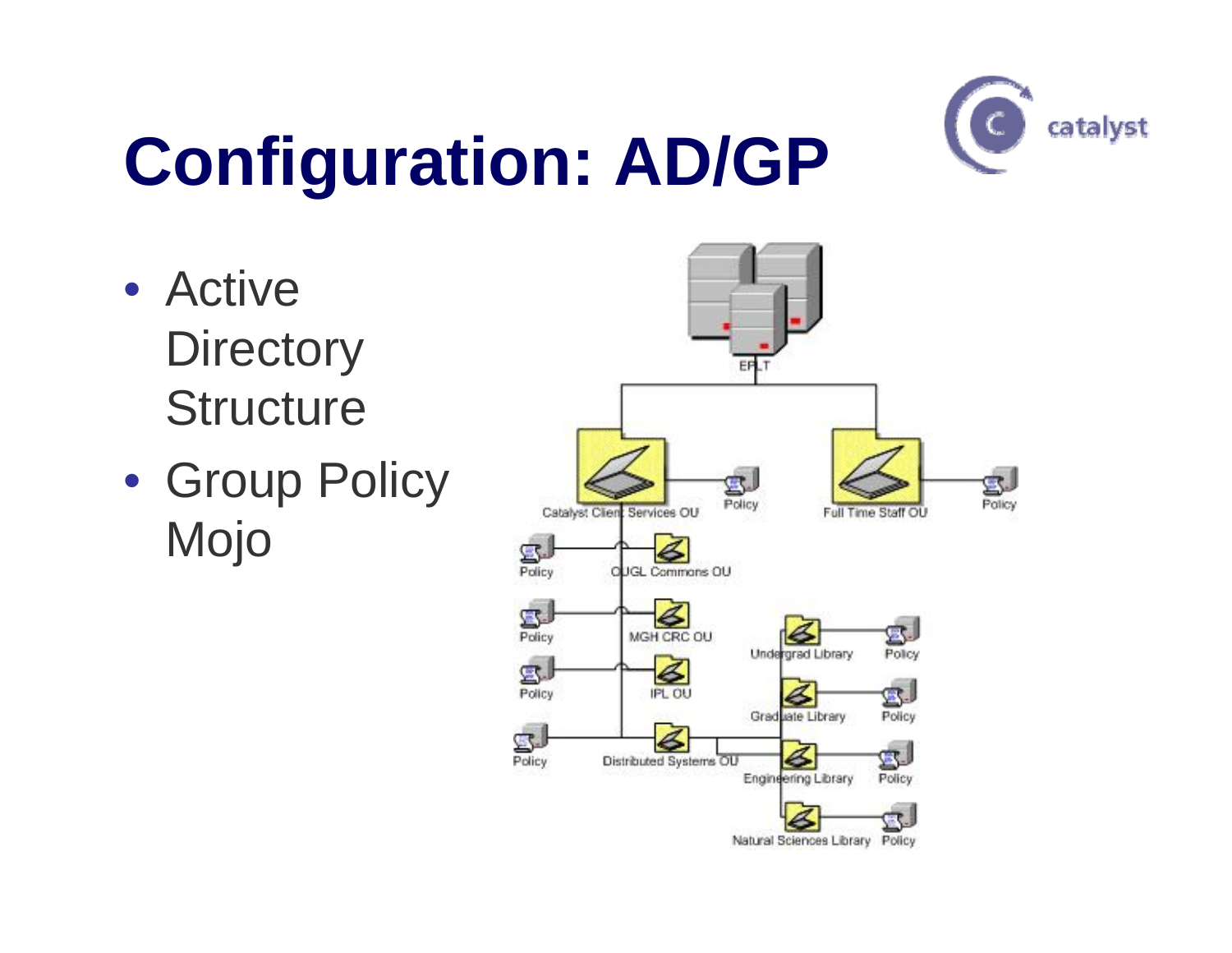

# **Configuration: AD/GP**

- Active **Directory Structure**
- Group Policy Mojo

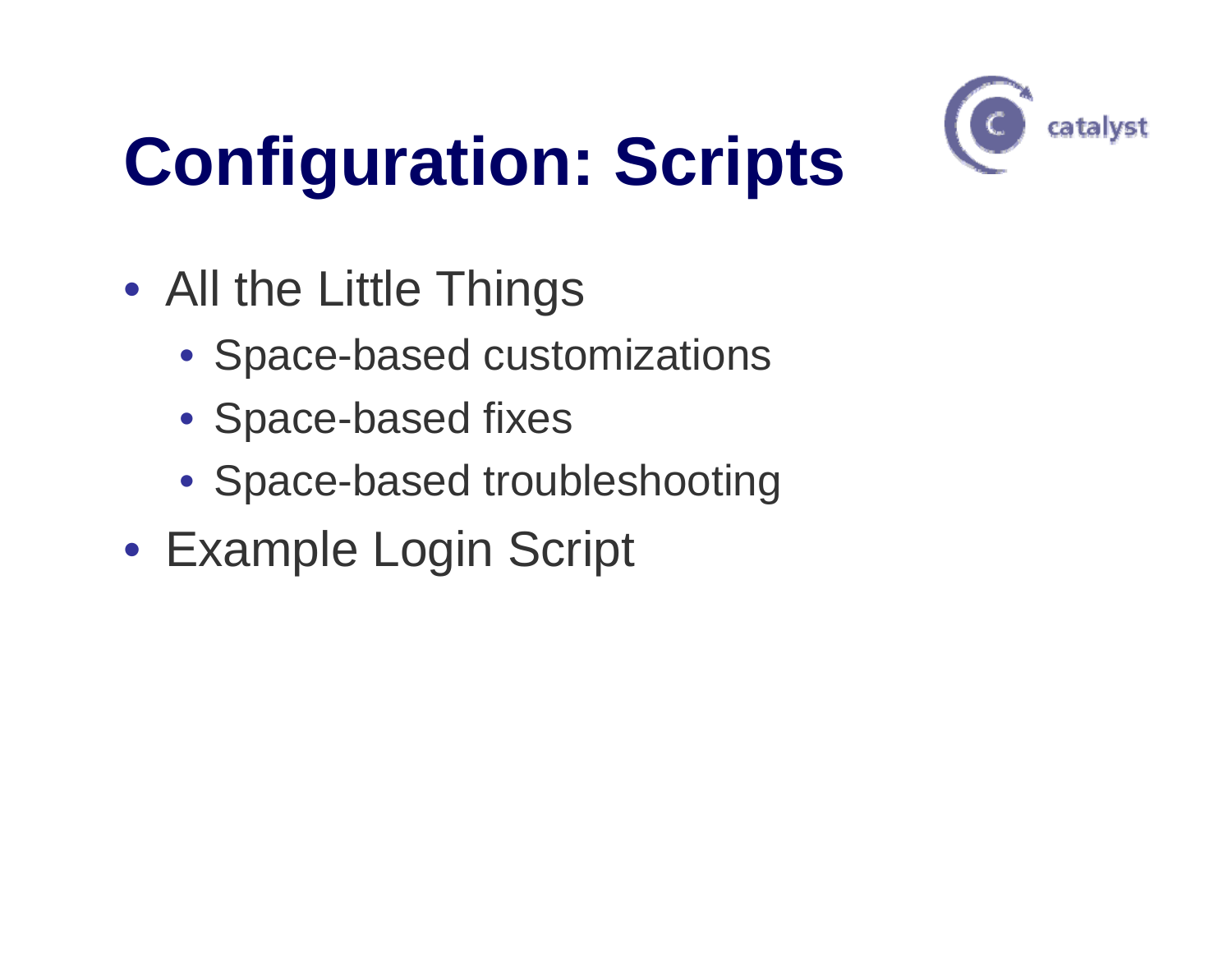

## **Configuration: Scripts**

- All the Little Things
	- Space-based customizations
	- Space-based fixes
	- Space-based troubleshooting
- Example Login Script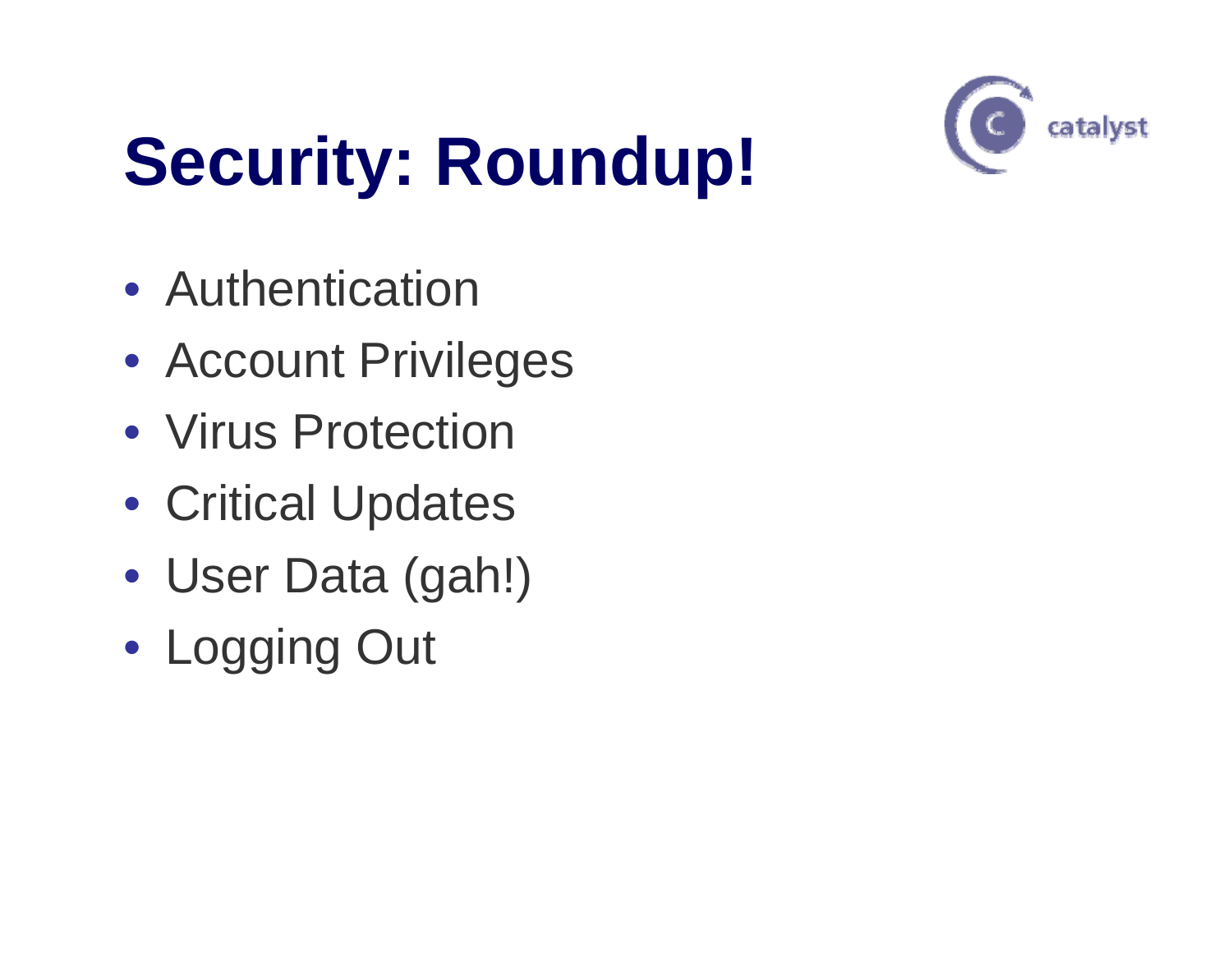

# **Security: Roundup!**

- Authentication
- Account Privileges
- Virus Protection
- Critical Updates
- User Data (gah!)
- Logging Out